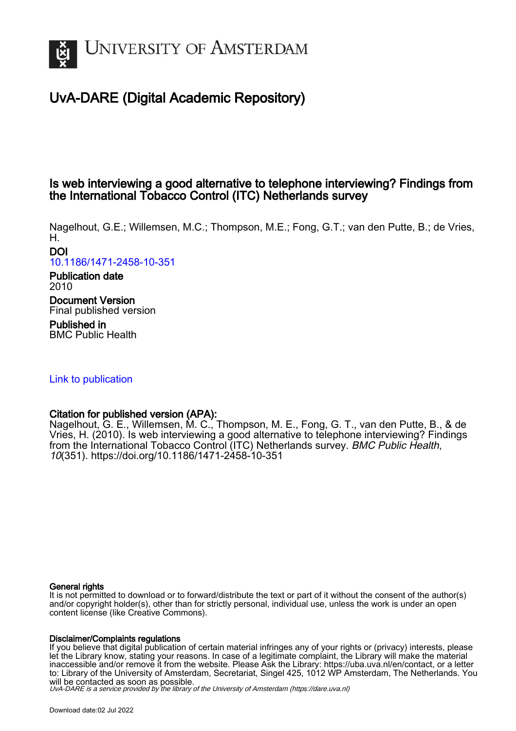

# UvA-DARE (Digital Academic Repository)

## Is web interviewing a good alternative to telephone interviewing? Findings from the International Tobacco Control (ITC) Netherlands survey

Nagelhout, G.E.; Willemsen, M.C.; Thompson, M.E.; Fong, G.T.; van den Putte, B.; de Vries, H. DOI

[10.1186/1471-2458-10-351](https://doi.org/10.1186/1471-2458-10-351)

Publication date 2010

Document Version Final published version

Published in BMC Public Health

## [Link to publication](https://dare.uva.nl/personal/pure/en/publications/is-web-interviewing-a-good-alternative-to-telephone-interviewing-findings-from-the-international-tobacco-control-itc-netherlands-survey(bf91b823-49ff-45e1-82f3-0283d9aa52cf).html)

## Citation for published version (APA):

Nagelhout, G. E., Willemsen, M. C., Thompson, M. E., Fong, G. T., van den Putte, B., & de Vries, H. (2010). Is web interviewing a good alternative to telephone interviewing? Findings from the International Tobacco Control (ITC) Netherlands survey. BMC Public Health, 10(351). <https://doi.org/10.1186/1471-2458-10-351>

## General rights

It is not permitted to download or to forward/distribute the text or part of it without the consent of the author(s) and/or copyright holder(s), other than for strictly personal, individual use, unless the work is under an open content license (like Creative Commons).

## Disclaimer/Complaints regulations

If you believe that digital publication of certain material infringes any of your rights or (privacy) interests, please let the Library know, stating your reasons. In case of a legitimate complaint, the Library will make the material inaccessible and/or remove it from the website. Please Ask the Library: https://uba.uva.nl/en/contact, or a letter to: Library of the University of Amsterdam, Secretariat, Singel 425, 1012 WP Amsterdam, The Netherlands. You will be contacted as soon as possible.

UvA-DARE is a service provided by the library of the University of Amsterdam (http*s*://dare.uva.nl)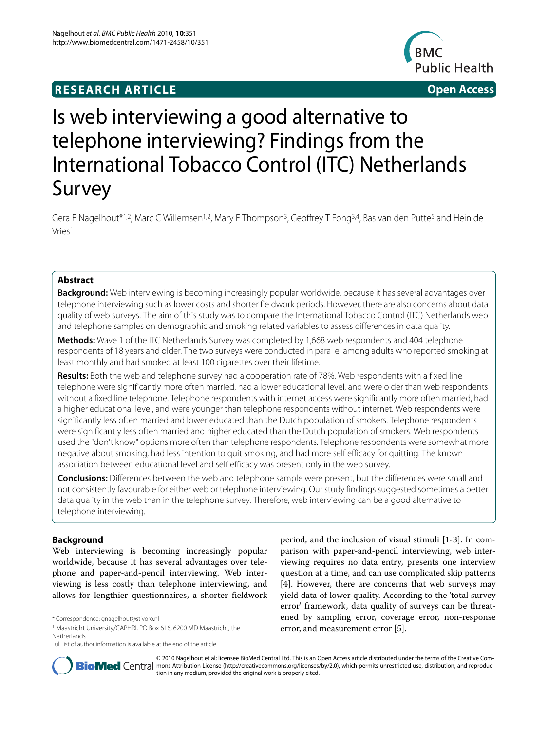# **RESEARCH ARTICLE Open Access**



# Is web interviewing a good alternative to telephone interviewing? Findings from the International Tobacco Control (ITC) Netherlands Survey

Gera E Nagelhout<sup>\*1,2</sup>, Marc C Willemsen<sup>1,2</sup>, Mary E Thompson<sup>3</sup>, Geoffrey T Fong<sup>3,4</sup>, Bas van den Putte<sup>5</sup> and Hein de Vries1

## **Abstract**

**Background:** Web interviewing is becoming increasingly popular worldwide, because it has several advantages over telephone interviewing such as lower costs and shorter fieldwork periods. However, there are also concerns about data quality of web surveys. The aim of this study was to compare the International Tobacco Control (ITC) Netherlands web and telephone samples on demographic and smoking related variables to assess differences in data quality.

**Methods:** Wave 1 of the ITC Netherlands Survey was completed by 1,668 web respondents and 404 telephone respondents of 18 years and older. The two surveys were conducted in parallel among adults who reported smoking at least monthly and had smoked at least 100 cigarettes over their lifetime.

**Results:** Both the web and telephone survey had a cooperation rate of 78%. Web respondents with a fixed line telephone were significantly more often married, had a lower educational level, and were older than web respondents without a fixed line telephone. Telephone respondents with internet access were significantly more often married, had a higher educational level, and were younger than telephone respondents without internet. Web respondents were significantly less often married and lower educated than the Dutch population of smokers. Telephone respondents were significantly less often married and higher educated than the Dutch population of smokers. Web respondents used the "don't know" options more often than telephone respondents. Telephone respondents were somewhat more negative about smoking, had less intention to quit smoking, and had more self efficacy for quitting. The known association between educational level and self efficacy was present only in the web survey.

**Conclusions:** Differences between the web and telephone sample were present, but the differences were small and not consistently favourable for either web or telephone interviewing. Our study findings suggested sometimes a better data quality in the web than in the telephone survey. Therefore, web interviewing can be a good alternative to telephone interviewing.

## **Background**

Web interviewing is becoming increasingly popular worldwide, because it has several advantages over telephone and paper-and-pencil interviewing. Web interviewing is less costly than telephone interviewing, and allows for lengthier questionnaires, a shorter fieldwork

period, and the inclusion of visual stimuli [[1-](#page-9-0)[3](#page-9-1)]. In comparison with paper-and-pencil interviewing, web interviewing requires no data entry, presents one interview question at a time, and can use complicated skip patterns [[4\]](#page-9-2). However, there are concerns that web surveys may yield data of lower quality. According to the 'total survey error' framework, data quality of surveys can be threatened by sampling error, coverage error, non-response error, and measurement error [\[5](#page-9-3)].



© 2010 Nagelhout et al; licensee BioMed Central Ltd. This is an Open Access article distributed under the terms of the Creative Com-**BioMed** Central mons Attribution License (http://creativecommons.org/licenses/by/2.0), which permits unrestricted use, distribution, and reproduction in any medium, provided the original work is properly cited.

<sup>\*</sup> Correspondence: gnagelhout@stivoro.nl

<sup>1</sup> Maastricht University/CAPHRI, PO Box 616, 6200 MD Maastricht, the Netherlands

Full list of author information is available at the end of the article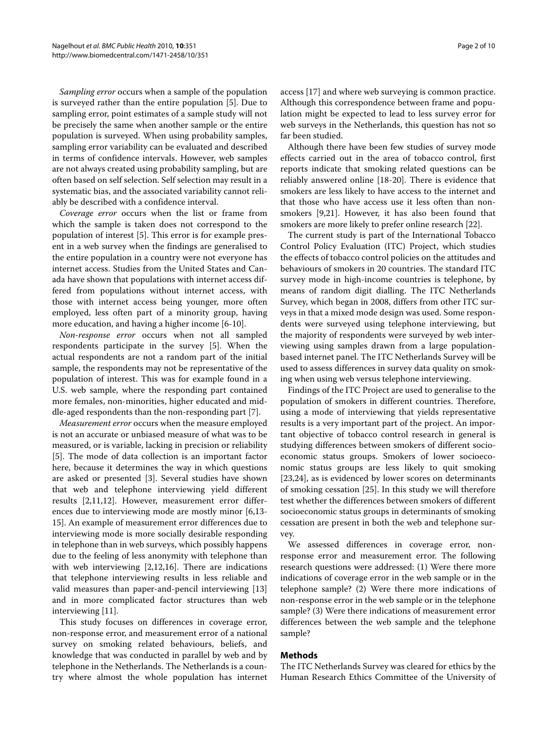*Sampling error* occurs when a sample of the population is surveyed rather than the entire population [[5\]](#page-9-3). Due to sampling error, point estimates of a sample study will not be precisely the same when another sample or the entire population is surveyed. When using probability samples, sampling error variability can be evaluated and described in terms of confidence intervals. However, web samples are not always created using probability sampling, but are often based on self selection. Self selection may result in a systematic bias, and the associated variability cannot reliably be described with a confidence interval.

*Coverage error* occurs when the list or frame from which the sample is taken does not correspond to the population of interest [[5](#page-9-3)]. This error is for example present in a web survey when the findings are generalised to the entire population in a country were not everyone has internet access. Studies from the United States and Canada have shown that populations with internet access differed from populations without internet access, with those with internet access being younger, more often employed, less often part of a minority group, having more education, and having a higher income [[6-](#page-9-4)[10](#page-9-5)].

*Non-response error* occurs when not all sampled respondents participate in the survey [[5](#page-9-3)]. When the actual respondents are not a random part of the initial sample, the respondents may not be representative of the population of interest. This was for example found in a U.S. web sample, where the responding part contained more females, non-minorities, higher educated and middle-aged respondents than the non-responding part [\[7\]](#page-9-6).

*Measurement error* occurs when the measure employed is not an accurate or unbiased measure of what was to be measured, or is variable, lacking in precision or reliability [[5\]](#page-9-3). The mode of data collection is an important factor here, because it determines the way in which questions are asked or presented [[3\]](#page-9-1). Several studies have shown that web and telephone interviewing yield different results [[2,](#page-9-7)[11,](#page-9-8)[12\]](#page-9-9). However, measurement error differences due to interviewing mode are mostly minor [[6,](#page-9-4)[13-](#page-9-10) [15](#page-10-0)]. An example of measurement error differences due to interviewing mode is more socially desirable responding in telephone than in web surveys, which possibly happens due to the feeling of less anonymity with telephone than with web interviewing [[2,](#page-9-7)[12](#page-9-9)[,16](#page-10-1)]. There are indications that telephone interviewing results in less reliable and valid measures than paper-and-pencil interviewing [[13](#page-9-10)] and in more complicated factor structures than web interviewing [[11](#page-9-8)].

This study focuses on differences in coverage error, non-response error, and measurement error of a national survey on smoking related behaviours, beliefs, and knowledge that was conducted in parallel by web and by telephone in the Netherlands. The Netherlands is a country where almost the whole population has internet

access [\[17](#page-10-2)] and where web surveying is common practice. Although this correspondence between frame and population might be expected to lead to less survey error for web surveys in the Netherlands, this question has not so far been studied.

Although there have been few studies of survey mode effects carried out in the area of tobacco control, first reports indicate that smoking related questions can be reliably answered online [[18-](#page-10-3)[20](#page-10-4)]. There is evidence that smokers are less likely to have access to the internet and that those who have access use it less often than nonsmokers [[9,](#page-9-11)[21\]](#page-10-5). However, it has also been found that smokers are more likely to prefer online research [[22\]](#page-10-6).

The current study is part of the International Tobacco Control Policy Evaluation (ITC) Project, which studies the effects of tobacco control policies on the attitudes and behaviours of smokers in 20 countries. The standard ITC survey mode in high-income countries is telephone, by means of random digit dialling. The ITC Netherlands Survey, which began in 2008, differs from other ITC surveys in that a mixed mode design was used. Some respondents were surveyed using telephone interviewing, but the majority of respondents were surveyed by web interviewing using samples drawn from a large populationbased internet panel. The ITC Netherlands Survey will be used to assess differences in survey data quality on smoking when using web versus telephone interviewing.

Findings of the ITC Project are used to generalise to the population of smokers in different countries. Therefore, using a mode of interviewing that yields representative results is a very important part of the project. An important objective of tobacco control research in general is studying differences between smokers of different socioeconomic status groups. Smokers of lower socioeconomic status groups are less likely to quit smoking [[23,](#page-10-7)[24\]](#page-10-8), as is evidenced by lower scores on determinants of smoking cessation [[25\]](#page-10-9). In this study we will therefore test whether the differences between smokers of different socioeconomic status groups in determinants of smoking cessation are present in both the web and telephone survey.

We assessed differences in coverage error, nonresponse error and measurement error. The following research questions were addressed: (1) Were there more indications of coverage error in the web sample or in the telephone sample? (2) Were there more indications of non-response error in the web sample or in the telephone sample? (3) Were there indications of measurement error differences between the web sample and the telephone sample?

## **Methods**

The ITC Netherlands Survey was cleared for ethics by the Human Research Ethics Committee of the University of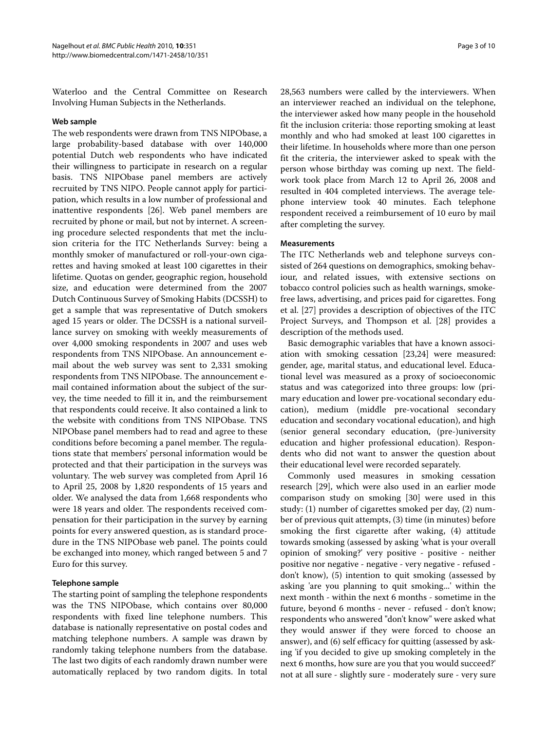Waterloo and the Central Committee on Research Involving Human Subjects in the Netherlands.

#### **Web sample**

The web respondents were drawn from TNS NIPObase, a large probability-based database with over 140,000 potential Dutch web respondents who have indicated their willingness to participate in research on a regular basis. TNS NIPObase panel members are actively recruited by TNS NIPO. People cannot apply for participation, which results in a low number of professional and inattentive respondents [[26](#page-10-10)]. Web panel members are recruited by phone or mail, but not by internet. A screening procedure selected respondents that met the inclusion criteria for the ITC Netherlands Survey: being a monthly smoker of manufactured or roll-your-own cigarettes and having smoked at least 100 cigarettes in their lifetime. Quotas on gender, geographic region, household size, and education were determined from the 2007 Dutch Continuous Survey of Smoking Habits (DCSSH) to get a sample that was representative of Dutch smokers aged 15 years or older. The DCSSH is a national surveillance survey on smoking with weekly measurements of over 4,000 smoking respondents in 2007 and uses web respondents from TNS NIPObase. An announcement email about the web survey was sent to 2,331 smoking respondents from TNS NIPObase. The announcement email contained information about the subject of the survey, the time needed to fill it in, and the reimbursement that respondents could receive. It also contained a link to the website with conditions from TNS NIPObase. TNS NIPObase panel members had to read and agree to these conditions before becoming a panel member. The regulations state that members' personal information would be protected and that their participation in the surveys was voluntary. The web survey was completed from April 16 to April 25, 2008 by 1,820 respondents of 15 years and older. We analysed the data from 1,668 respondents who were 18 years and older. The respondents received compensation for their participation in the survey by earning points for every answered question, as is standard procedure in the TNS NIPObase web panel. The points could be exchanged into money, which ranged between 5 and 7 Euro for this survey.

#### **Telephone sample**

The starting point of sampling the telephone respondents was the TNS NIPObase, which contains over 80,000 respondents with fixed line telephone numbers. This database is nationally representative on postal codes and matching telephone numbers. A sample was drawn by randomly taking telephone numbers from the database. The last two digits of each randomly drawn number were automatically replaced by two random digits. In total 28,563 numbers were called by the interviewers. When an interviewer reached an individual on the telephone, the interviewer asked how many people in the household fit the inclusion criteria: those reporting smoking at least monthly and who had smoked at least 100 cigarettes in their lifetime. In households where more than one person fit the criteria, the interviewer asked to speak with the person whose birthday was coming up next. The fieldwork took place from March 12 to April 26, 2008 and resulted in 404 completed interviews. The average telephone interview took 40 minutes. Each telephone respondent received a reimbursement of 10 euro by mail after completing the survey.

## **Measurements**

The ITC Netherlands web and telephone surveys consisted of 264 questions on demographics, smoking behaviour, and related issues, with extensive sections on tobacco control policies such as health warnings, smokefree laws, advertising, and prices paid for cigarettes. Fong et al. [[27](#page-10-11)] provides a description of objectives of the ITC Project Surveys, and Thompson et al. [[28\]](#page-10-12) provides a description of the methods used.

Basic demographic variables that have a known association with smoking cessation [[23,](#page-10-7)[24\]](#page-10-8) were measured: gender, age, marital status, and educational level. Educational level was measured as a proxy of socioeconomic status and was categorized into three groups: low (primary education and lower pre-vocational secondary education), medium (middle pre-vocational secondary education and secondary vocational education), and high (senior general secondary education, (pre-)university education and higher professional education). Respondents who did not want to answer the question about their educational level were recorded separately.

Commonly used measures in smoking cessation research [\[29](#page-10-13)], which were also used in an earlier mode comparison study on smoking [[30\]](#page-10-14) were used in this study: (1) number of cigarettes smoked per day, (2) number of previous quit attempts, (3) time (in minutes) before smoking the first cigarette after waking, (4) attitude towards smoking (assessed by asking 'what is your overall opinion of smoking?' very positive - positive - neither positive nor negative - negative - very negative - refused don't know), (5) intention to quit smoking (assessed by asking 'are you planning to quit smoking...' within the next month - within the next 6 months - sometime in the future, beyond 6 months - never - refused - don't know; respondents who answered "don't know" were asked what they would answer if they were forced to choose an answer), and (6) self efficacy for quitting (assessed by asking 'if you decided to give up smoking completely in the next 6 months, how sure are you that you would succeed?' not at all sure - slightly sure - moderately sure - very sure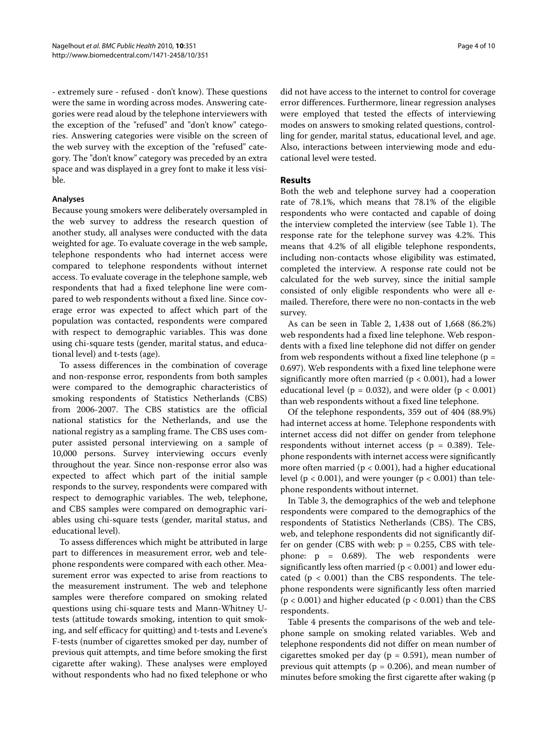- extremely sure - refused - don't know). These questions were the same in wording across modes. Answering categories were read aloud by the telephone interviewers with the exception of the "refused" and "don't know" categories. Answering categories were visible on the screen of the web survey with the exception of the "refused" category. The "don't know" category was preceded by an extra space and was displayed in a grey font to make it less visible.

## **Analyses**

Because young smokers were deliberately oversampled in the web survey to address the research question of another study, all analyses were conducted with the data weighted for age. To evaluate coverage in the web sample, telephone respondents who had internet access were compared to telephone respondents without internet access. To evaluate coverage in the telephone sample, web respondents that had a fixed telephone line were compared to web respondents without a fixed line. Since coverage error was expected to affect which part of the population was contacted, respondents were compared with respect to demographic variables. This was done using chi-square tests (gender, marital status, and educational level) and t-tests (age).

To assess differences in the combination of coverage and non-response error, respondents from both samples were compared to the demographic characteristics of smoking respondents of Statistics Netherlands (CBS) from 2006-2007. The CBS statistics are the official national statistics for the Netherlands, and use the national registry as a sampling frame. The CBS uses computer assisted personal interviewing on a sample of 10,000 persons. Survey interviewing occurs evenly throughout the year. Since non-response error also was expected to affect which part of the initial sample responds to the survey, respondents were compared with respect to demographic variables. The web, telephone, and CBS samples were compared on demographic variables using chi-square tests (gender, marital status, and educational level).

To assess differences which might be attributed in large part to differences in measurement error, web and telephone respondents were compared with each other. Measurement error was expected to arise from reactions to the measurement instrument. The web and telephone samples were therefore compared on smoking related questions using chi-square tests and Mann-Whitney Utests (attitude towards smoking, intention to quit smoking, and self efficacy for quitting) and t-tests and Levene's F-tests (number of cigarettes smoked per day, number of previous quit attempts, and time before smoking the first cigarette after waking). These analyses were employed without respondents who had no fixed telephone or who

did not have access to the internet to control for coverage error differences. Furthermore, linear regression analyses were employed that tested the effects of interviewing modes on answers to smoking related questions, controlling for gender, marital status, educational level, and age. Also, interactions between interviewing mode and educational level were tested.

## **Results**

Both the web and telephone survey had a cooperation rate of 78.1%, which means that 78.1% of the eligible respondents who were contacted and capable of doing the interview completed the interview (see Table 1). The response rate for the telephone survey was 4.2%. This means that 4.2% of all eligible telephone respondents, including non-contacts whose eligibility was estimated, completed the interview. A response rate could not be calculated for the web survey, since the initial sample consisted of only eligible respondents who were all emailed. Therefore, there were no non-contacts in the web survey.

As can be seen in Table 2, 1,438 out of 1,668 (86.2%) web respondents had a fixed line telephone. Web respondents with a fixed line telephone did not differ on gender from web respondents without a fixed line telephone ( $p =$ 0.697). Web respondents with a fixed line telephone were significantly more often married ( $p < 0.001$ ), had a lower educational level ( $p = 0.032$ ), and were older ( $p < 0.001$ ) than web respondents without a fixed line telephone.

Of the telephone respondents, 359 out of 404 (88.9%) had internet access at home. Telephone respondents with internet access did not differ on gender from telephone respondents without internet access ( $p = 0.389$ ). Telephone respondents with internet access were significantly more often married ( $p < 0.001$ ), had a higher educational level ( $p < 0.001$ ), and were younger ( $p < 0.001$ ) than telephone respondents without internet.

In Table 3, the demographics of the web and telephone respondents were compared to the demographics of the respondents of Statistics Netherlands (CBS). The CBS, web, and telephone respondents did not significantly differ on gender (CBS with web:  $p = 0.255$ , CBS with telephone: p = 0.689). The web respondents were significantly less often married ( $p < 0.001$ ) and lower educated  $(p < 0.001)$  than the CBS respondents. The telephone respondents were significantly less often married  $(p < 0.001)$  and higher educated  $(p < 0.001)$  than the CBS respondents.

Table 4 presents the comparisons of the web and telephone sample on smoking related variables. Web and telephone respondents did not differ on mean number of cigarettes smoked per day ( $p = 0.591$ ), mean number of previous quit attempts ( $p = 0.206$ ), and mean number of minutes before smoking the first cigarette after waking (p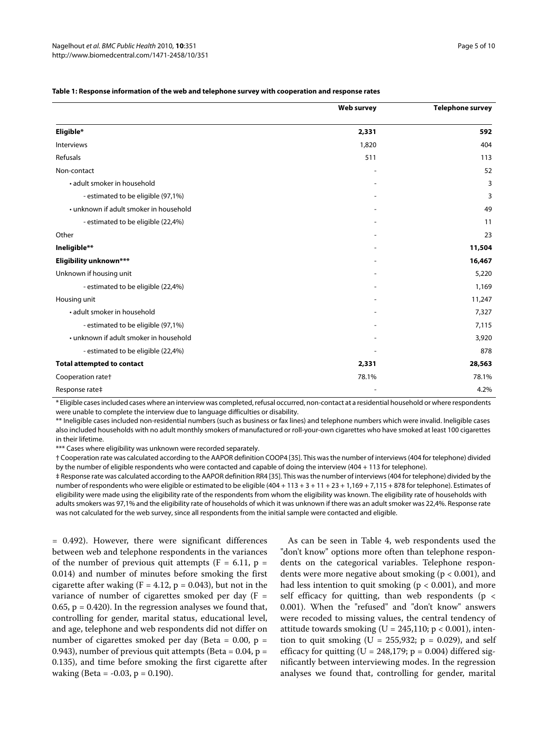|                                                                                                                                                                                                                                                                                 | <b>Web survey</b>                      | <b>Telephone survey</b>                                                 |
|---------------------------------------------------------------------------------------------------------------------------------------------------------------------------------------------------------------------------------------------------------------------------------|----------------------------------------|-------------------------------------------------------------------------|
| Eligible*                                                                                                                                                                                                                                                                       | 2,331                                  | 592                                                                     |
| <b>Interviews</b>                                                                                                                                                                                                                                                               | 1,820                                  | 404                                                                     |
| Refusals                                                                                                                                                                                                                                                                        | 511                                    | 113                                                                     |
| Non-contact                                                                                                                                                                                                                                                                     |                                        | 52                                                                      |
| • adult smoker in household                                                                                                                                                                                                                                                     |                                        | 3                                                                       |
| - estimated to be eligible (97,1%)                                                                                                                                                                                                                                              |                                        | 3                                                                       |
| • unknown if adult smoker in household                                                                                                                                                                                                                                          |                                        | 49                                                                      |
| - estimated to be eligible (22,4%)                                                                                                                                                                                                                                              |                                        | 11                                                                      |
| Other                                                                                                                                                                                                                                                                           |                                        | 23                                                                      |
| Ineligible**                                                                                                                                                                                                                                                                    |                                        | 11,504                                                                  |
| Eligibility unknown***                                                                                                                                                                                                                                                          |                                        | 16,467                                                                  |
| Unknown if housing unit                                                                                                                                                                                                                                                         |                                        | 5,220                                                                   |
| - estimated to be eligible (22,4%)                                                                                                                                                                                                                                              |                                        | 1,169                                                                   |
| Housing unit                                                                                                                                                                                                                                                                    |                                        | 11,247                                                                  |
| • adult smoker in household                                                                                                                                                                                                                                                     |                                        | 7,327                                                                   |
| - estimated to be eligible (97,1%)                                                                                                                                                                                                                                              |                                        | 7,115                                                                   |
| • unknown if adult smoker in household                                                                                                                                                                                                                                          |                                        | 3,920                                                                   |
| - estimated to be eligible (22,4%)                                                                                                                                                                                                                                              |                                        | 878                                                                     |
| <b>Total attempted to contact</b>                                                                                                                                                                                                                                               | 2,331                                  | 28,563                                                                  |
| Cooperation rate+                                                                                                                                                                                                                                                               | 78.1%                                  | 78.1%                                                                   |
| Response rate‡<br>$\mathbf{1}$ $\mathbf{1}$ $\mathbf{1}$ $\mathbf{1}$ $\mathbf{1}$ $\mathbf{1}$<br>and the state of the<br>the contract of the contract of the contract of the contract of the contract of the contract of the contract of<br>the company of the company of the | $\mathbf{r}$ . The set of $\mathbf{r}$ | 4.2%<br>$\mathbf{r}$ and $\mathbf{r}$<br>$\blacksquare$<br>$\mathbf{r}$ |

#### **Table 1: Response information of the web and telephone survey with cooperation and response rates**

\* Eligible cases included cases where an interview was completed, refusal occurred, non-contact at a residential household or where respondents were unable to complete the interview due to language difficulties or disability.

\*\* Ineligible cases included non-residential numbers (such as business or fax lines) and telephone numbers which were invalid. Ineligible cases also included households with no adult monthly smokers of manufactured or roll-your-own cigarettes who have smoked at least 100 cigarettes in their lifetime.

\*\*\* Cases where eligibility was unknown were recorded separately.

† Cooperation rate was calculated according to the AAPOR definition COOP4 [\[35](#page-10-15)]. This was the number of interviews (404 for telephone) divided by the number of eligible respondents who were contacted and capable of doing the interview (404 + 113 for telephone).

‡ Response rate was calculated according to the AAPOR definition RR4 [[35\]](#page-10-15). This was the number of interviews (404 for telephone) divided by the number of respondents who were eligible or estimated to be eligible (404 + 113 + 3 + 11 + 23 + 1,169 + 7,115 + 878 for telephone). Estimates of eligibility were made using the eligibility rate of the respondents from whom the eligibility was known. The eligibility rate of households with adults smokers was 97,1% and the eligibility rate of households of which it was unknown if there was an adult smoker was 22,4%. Response rate was not calculated for the web survey, since all respondents from the initial sample were contacted and eligible.

= 0.492). However, there were significant differences between web and telephone respondents in the variances of the number of previous quit attempts ( $F = 6.11$ ,  $p =$ 0.014) and number of minutes before smoking the first cigarette after waking (F = 4.12, p = 0.043), but not in the variance of number of cigarettes smoked per day  $(F =$ 0.65,  $p = 0.420$ ). In the regression analyses we found that, controlling for gender, marital status, educational level, and age, telephone and web respondents did not differ on number of cigarettes smoked per day (Beta =  $0.00$ , p = 0.943), number of previous quit attempts (Beta =  $0.04$ , p = 0.135), and time before smoking the first cigarette after waking (Beta = -0.03, p = 0.190).

As can be seen in Table 4, web respondents used the "don't know" options more often than telephone respondents on the categorical variables. Telephone respondents were more negative about smoking ( $p < 0.001$ ), and had less intention to quit smoking ( $p < 0.001$ ), and more self efficacy for quitting, than web respondents ( $p \lt$ 0.001). When the "refused" and "don't know" answers were recoded to missing values, the central tendency of attitude towards smoking (U = 245,110;  $p < 0.001$ ), intention to quit smoking (U = 255,932;  $p = 0.029$ ), and self efficacy for quitting ( $U = 248,179$ ;  $p = 0.004$ ) differed significantly between interviewing modes. In the regression analyses we found that, controlling for gender, marital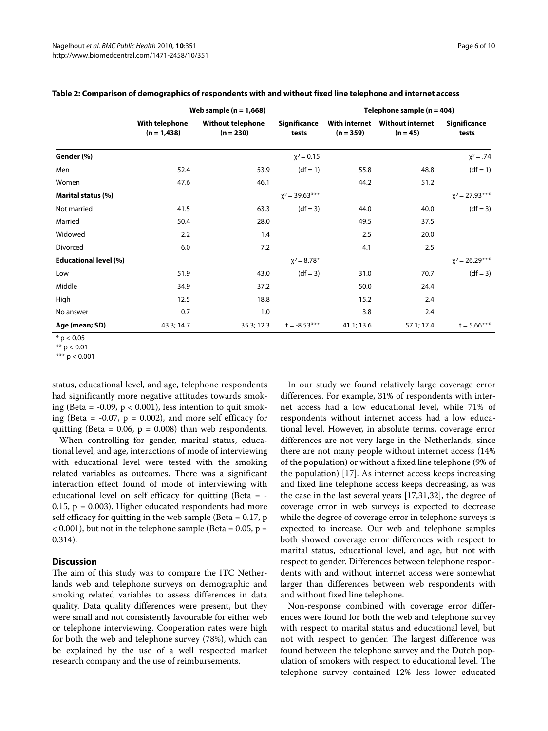|                              | Web sample $(n = 1,668)$                |                                         |                       | Telephone sample $(n = 404)$        |                                       |                       |
|------------------------------|-----------------------------------------|-----------------------------------------|-----------------------|-------------------------------------|---------------------------------------|-----------------------|
|                              | <b>With telephone</b><br>$(n = 1, 438)$ | <b>Without telephone</b><br>$(n = 230)$ | Significance<br>tests | <b>With internet</b><br>$(n = 359)$ | <b>Without internet</b><br>$(n = 45)$ | Significance<br>tests |
| Gender (%)                   |                                         |                                         | $x^2 = 0.15$          |                                     |                                       | $x^2 = .74$           |
| Men                          | 52.4                                    | 53.9                                    | $(df = 1)$            | 55.8                                | 48.8                                  | $(df = 1)$            |
| Women                        | 47.6                                    | 46.1                                    |                       | 44.2                                | 51.2                                  |                       |
| Marital status (%)           |                                         |                                         | $x^2$ = 39.63***      |                                     |                                       | $x^2$ = 27.93***      |
| Not married                  | 41.5                                    | 63.3                                    | $(df = 3)$            | 44.0                                | 40.0                                  | $(df = 3)$            |
| Married                      | 50.4                                    | 28.0                                    |                       | 49.5                                | 37.5                                  |                       |
| Widowed                      | 2.2                                     | 1.4                                     |                       | 2.5                                 | 20.0                                  |                       |
| Divorced                     | 6.0                                     | 7.2                                     |                       | 4.1                                 | 2.5                                   |                       |
| <b>Educational level (%)</b> |                                         |                                         | $x^2 = 8.78^*$        |                                     |                                       | $x^2$ = 26.29***      |
| Low                          | 51.9                                    | 43.0                                    | $(df = 3)$            | 31.0                                | 70.7                                  | $(df = 3)$            |
| Middle                       | 34.9                                    | 37.2                                    |                       | 50.0                                | 24.4                                  |                       |
| High                         | 12.5                                    | 18.8                                    |                       | 15.2                                | 2.4                                   |                       |
| No answer                    | 0.7                                     | 1.0                                     |                       | 3.8                                 | 2.4                                   |                       |
| Age (mean; SD)               | 43.3; 14.7                              | 35.3; 12.3                              | $t = -8.53***$        | 41.1; 13.6                          | 57.1; 17.4                            | $t = 5.66***$         |

## **Table 2: Comparison of demographics of respondents with and without fixed line telephone and internet access**

status, educational level, and age, telephone respondents had significantly more negative attitudes towards smoking (Beta =  $-0.09$ ,  $p < 0.001$ ), less intention to quit smoking (Beta =  $-0.07$ ,  $p = 0.002$ ), and more self efficacy for quitting (Beta =  $0.06$ ,  $p = 0.008$ ) than web respondents.

When controlling for gender, marital status, educational level, and age, interactions of mode of interviewing with educational level were tested with the smoking related variables as outcomes. There was a significant interaction effect found of mode of interviewing with educational level on self efficacy for quitting (Beta = - 0.15,  $p = 0.003$ ). Higher educated respondents had more self efficacy for quitting in the web sample (Beta  $= 0.17$ , p  $<$  0.001), but not in the telephone sample (Beta = 0.05, p = 0.314).

## **Discussion**

The aim of this study was to compare the ITC Netherlands web and telephone surveys on demographic and smoking related variables to assess differences in data quality. Data quality differences were present, but they were small and not consistently favourable for either web or telephone interviewing. Cooperation rates were high for both the web and telephone survey (78%), which can be explained by the use of a well respected market research company and the use of reimbursements.

In our study we found relatively large coverage error differences. For example, 31% of respondents with internet access had a low educational level, while 71% of respondents without internet access had a low educational level. However, in absolute terms, coverage error differences are not very large in the Netherlands, since there are not many people without internet access (14% of the population) or without a fixed line telephone (9% of the population) [[17](#page-10-2)]. As internet access keeps increasing and fixed line telephone access keeps decreasing, as was the case in the last several years [\[17](#page-10-2)[,31](#page-10-16),[32](#page-10-17)], the degree of coverage error in web surveys is expected to decrease while the degree of coverage error in telephone surveys is expected to increase. Our web and telephone samples both showed coverage error differences with respect to marital status, educational level, and age, but not with respect to gender. Differences between telephone respondents with and without internet access were somewhat larger than differences between web respondents with and without fixed line telephone.

Non-response combined with coverage error differences were found for both the web and telephone survey with respect to marital status and educational level, but not with respect to gender. The largest difference was found between the telephone survey and the Dutch population of smokers with respect to educational level. The telephone survey contained 12% less lower educated

 $*$  p < 0.05

 $** p < 0.01$ \*\*\*  $p < 0.001$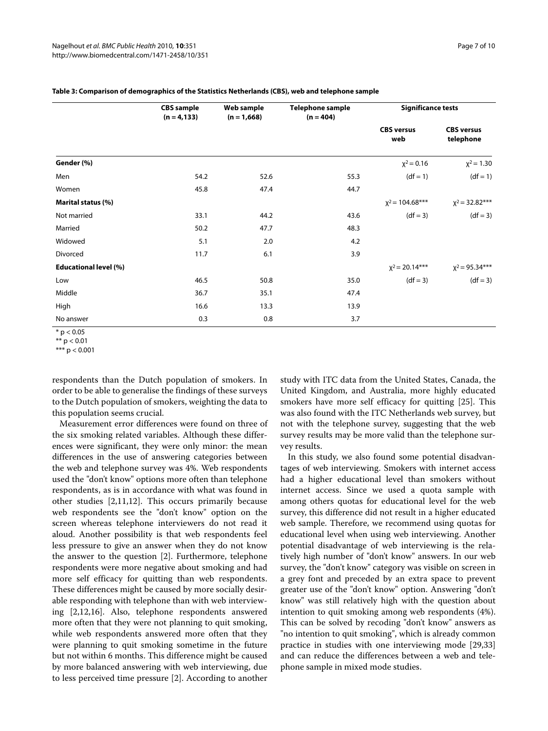|                              | <b>CBS</b> sample<br>$(n = 4, 133)$ | Web sample<br>$(n = 1,668)$ | <b>Telephone sample</b><br>$(n = 404)$ | <b>Significance tests</b> |                                |
|------------------------------|-------------------------------------|-----------------------------|----------------------------------------|---------------------------|--------------------------------|
|                              |                                     |                             |                                        | <b>CBS</b> versus<br>web  | <b>CBS</b> versus<br>telephone |
| Gender (%)                   |                                     |                             |                                        | $x^2$ = 0.16              | $x^2$ = 1.30                   |
| Men                          | 54.2                                | 52.6                        | 55.3                                   | $(df = 1)$                | $(df = 1)$                     |
| Women                        | 45.8                                | 47.4                        | 44.7                                   |                           |                                |
| Marital status (%)           |                                     |                             |                                        | $x^2$ = 104.68***         | $x^2$ = 32.82***               |
| Not married                  | 33.1                                | 44.2                        | 43.6                                   | $(df = 3)$                | $(df = 3)$                     |
| Married                      | 50.2                                | 47.7                        | 48.3                                   |                           |                                |
| Widowed                      | 5.1                                 | 2.0                         | 4.2                                    |                           |                                |
| Divorced                     | 11.7                                | 6.1                         | 3.9                                    |                           |                                |
| <b>Educational level (%)</b> |                                     |                             |                                        | $x^2$ = 20.14***          | $x^2 = 95.34***$               |
| Low                          | 46.5                                | 50.8                        | 35.0                                   | $(df = 3)$                | $(df = 3)$                     |
| Middle                       | 36.7                                | 35.1                        | 47.4                                   |                           |                                |
| High                         | 16.6                                | 13.3                        | 13.9                                   |                           |                                |
| No answer                    | 0.3                                 | 0.8                         | 3.7                                    |                           |                                |

#### **Table 3: Comparison of demographics of the Statistics Netherlands (CBS), web and telephone sample**

\*\*  $p < 0.01$ \*\*\* p < 0.001

respondents than the Dutch population of smokers. In order to be able to generalise the findings of these surveys to the Dutch population of smokers, weighting the data to this population seems crucial.

Measurement error differences were found on three of the six smoking related variables. Although these differences were significant, they were only minor: the mean differences in the use of answering categories between the web and telephone survey was 4%. Web respondents used the "don't know" options more often than telephone respondents, as is in accordance with what was found in other studies [\[2](#page-9-7),[11](#page-9-8),[12](#page-9-9)]. This occurs primarily because web respondents see the "don't know" option on the screen whereas telephone interviewers do not read it aloud. Another possibility is that web respondents feel less pressure to give an answer when they do not know the answer to the question [[2](#page-9-7)]. Furthermore, telephone respondents were more negative about smoking and had more self efficacy for quitting than web respondents. These differences might be caused by more socially desirable responding with telephone than with web interviewing [\[2](#page-9-7)[,12](#page-9-9),[16](#page-10-1)]. Also, telephone respondents answered more often that they were not planning to quit smoking, while web respondents answered more often that they were planning to quit smoking sometime in the future but not within 6 months. This difference might be caused by more balanced answering with web interviewing, due to less perceived time pressure [\[2](#page-9-7)]. According to another

study with ITC data from the United States, Canada, the United Kingdom, and Australia, more highly educated smokers have more self efficacy for quitting [[25\]](#page-10-9). This was also found with the ITC Netherlands web survey, but not with the telephone survey, suggesting that the web survey results may be more valid than the telephone survey results.

In this study, we also found some potential disadvantages of web interviewing. Smokers with internet access had a higher educational level than smokers without internet access. Since we used a quota sample with among others quotas for educational level for the web survey, this difference did not result in a higher educated web sample. Therefore, we recommend using quotas for educational level when using web interviewing. Another potential disadvantage of web interviewing is the relatively high number of "don't know" answers. In our web survey, the "don't know" category was visible on screen in a grey font and preceded by an extra space to prevent greater use of the "don't know" option. Answering "don't know" was still relatively high with the question about intention to quit smoking among web respondents (4%). This can be solved by recoding "don't know" answers as "no intention to quit smoking", which is already common practice in studies with one interviewing mode [\[29](#page-10-13),[33](#page-10-18)] and can reduce the differences between a web and telephone sample in mixed mode studies.

 $*$  p  $< 0.05$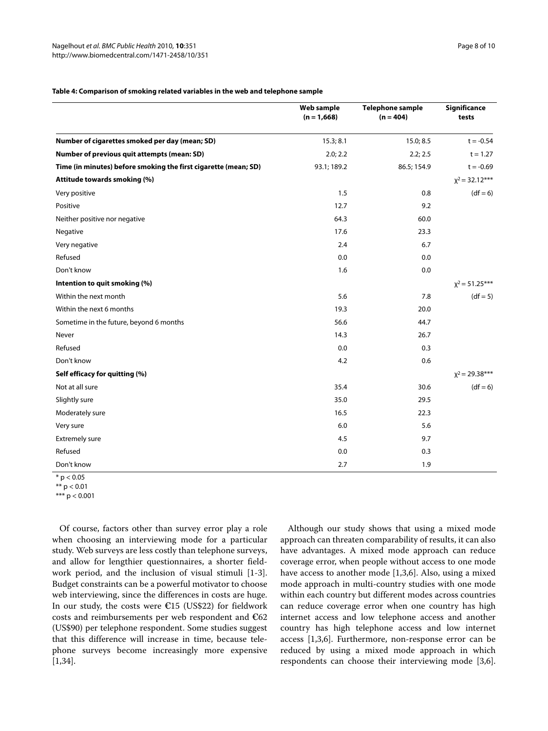#### **Table 4: Comparison of smoking related variables in the web and telephone sample**

|                                                                 | Web sample<br>$(n = 1,668)$ | <b>Telephone sample</b><br>$(n = 404)$ | Significance<br>tests |
|-----------------------------------------------------------------|-----------------------------|----------------------------------------|-----------------------|
| Number of cigarettes smoked per day (mean; SD)                  | 15.3; 8.1                   | 15.0; 8.5                              | $t = -0.54$           |
| Number of previous quit attempts (mean: SD)                     | 2.0; 2.2                    | 2.2; 2.5                               | $t = 1.27$            |
| Time (in minutes) before smoking the first cigarette (mean; SD) | 93.1; 189.2                 | 86.5; 154.9                            | $t = -0.69$           |
| Attitude towards smoking (%)                                    |                             |                                        | $x^2$ = 32.12***      |
| Very positive                                                   | 1.5                         | 0.8                                    | $(df = 6)$            |
| Positive                                                        | 12.7                        | 9.2                                    |                       |
| Neither positive nor negative                                   | 64.3                        | 60.0                                   |                       |
| Negative                                                        | 17.6                        | 23.3                                   |                       |
| Very negative                                                   | 2.4                         | 6.7                                    |                       |
| Refused                                                         | 0.0                         | 0.0                                    |                       |
| Don't know                                                      | 1.6                         | 0.0                                    |                       |
| Intention to quit smoking (%)                                   |                             |                                        | $x^2$ = 51.25***      |
| Within the next month                                           | 5.6                         | 7.8                                    | $(df = 5)$            |
| Within the next 6 months                                        | 19.3                        | 20.0                                   |                       |
| Sometime in the future, beyond 6 months                         | 56.6                        | 44.7                                   |                       |
| Never                                                           | 14.3                        | 26.7                                   |                       |
| Refused                                                         | 0.0                         | 0.3                                    |                       |
| Don't know                                                      | 4.2                         | 0.6                                    |                       |
| Self efficacy for quitting (%)                                  |                             |                                        | $x^2$ = 29.38***      |
| Not at all sure                                                 | 35.4                        | 30.6                                   | $(df = 6)$            |
| Slightly sure                                                   | 35.0                        | 29.5                                   |                       |
| Moderately sure                                                 | 16.5                        | 22.3                                   |                       |
| Very sure                                                       | 6.0                         | 5.6                                    |                       |
| <b>Extremely sure</b>                                           | 4.5                         | 9.7                                    |                       |
| Refused                                                         | 0.0                         | 0.3                                    |                       |
| Don't know                                                      | 2.7                         | 1.9                                    |                       |

 $* p < 0.05$ 

\*\*  $p < 0.01$ \*\*\* p < 0.001

Of course, factors other than survey error play a role when choosing an interviewing mode for a particular study. Web surveys are less costly than telephone surveys, and allow for lengthier questionnaires, a shorter fieldwork period, and the inclusion of visual stimuli [[1-](#page-9-0)[3](#page-9-1)]. Budget constraints can be a powerful motivator to choose web interviewing, since the differences in costs are huge. In our study, the costs were  $E15$  (US\$22) for fieldwork costs and reimbursements per web respondent and €62 (US\$90) per telephone respondent. Some studies suggest that this difference will increase in time, because telephone surveys become increasingly more expensive [[1,](#page-9-0)[34\]](#page-10-19).

Although our study shows that using a mixed mode approach can threaten comparability of results, it can also have advantages. A mixed mode approach can reduce coverage error, when people without access to one mode have access to another mode [[1,](#page-9-0)[3,](#page-9-1)[6](#page-9-4)]. Also, using a mixed mode approach in multi-country studies with one mode within each country but different modes across countries can reduce coverage error when one country has high internet access and low telephone access and another country has high telephone access and low internet access [\[1](#page-9-0),[3](#page-9-1),[6\]](#page-9-4). Furthermore, non-response error can be reduced by using a mixed mode approach in which respondents can choose their interviewing mode [\[3](#page-9-1)[,6](#page-9-4)].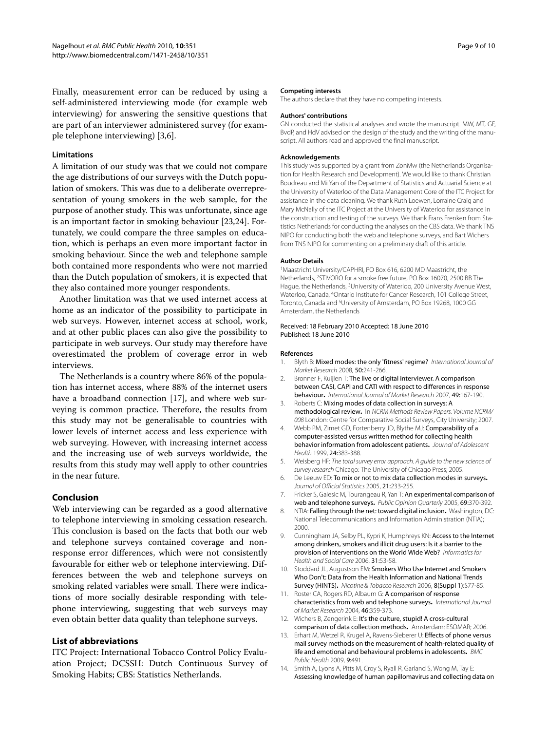Finally, measurement error can be reduced by using a self-administered interviewing mode (for example web interviewing) for answering the sensitive questions that are part of an interviewer administered survey (for example telephone interviewing) [[3](#page-9-1)[,6](#page-9-4)].

#### **Limitations**

A limitation of our study was that we could not compare the age distributions of our surveys with the Dutch population of smokers. This was due to a deliberate overrepresentation of young smokers in the web sample, for the purpose of another study. This was unfortunate, since age is an important factor in smoking behaviour [[23](#page-10-7),[24\]](#page-10-8). Fortunately, we could compare the three samples on education, which is perhaps an even more important factor in smoking behaviour. Since the web and telephone sample both contained more respondents who were not married than the Dutch population of smokers, it is expected that they also contained more younger respondents.

Another limitation was that we used internet access at home as an indicator of the possibility to participate in web surveys. However, internet access at school, work, and at other public places can also give the possibility to participate in web surveys. Our study may therefore have overestimated the problem of coverage error in web interviews.

The Netherlands is a country where 86% of the population has internet access, where 88% of the internet users have a broadband connection [[17\]](#page-10-2), and where web surveying is common practice. Therefore, the results from this study may not be generalisable to countries with lower levels of internet access and less experience with web surveying. However, with increasing internet access and the increasing use of web surveys worldwide, the results from this study may well apply to other countries in the near future.

## **Conclusion**

Web interviewing can be regarded as a good alternative to telephone interviewing in smoking cessation research. This conclusion is based on the facts that both our web and telephone surveys contained coverage and nonresponse error differences, which were not consistently favourable for either web or telephone interviewing. Differences between the web and telephone surveys on smoking related variables were small. There were indications of more socially desirable responding with telephone interviewing, suggesting that web surveys may even obtain better data quality than telephone surveys.

## **List of abbreviations**

ITC Project: International Tobacco Control Policy Evaluation Project; DCSSH: Dutch Continuous Survey of Smoking Habits; CBS: Statistics Netherlands.

#### **Competing interests**

The authors declare that they have no competing interests.

#### **Authors' contributions**

GN conducted the statistical analyses and wrote the manuscript. MW, MT, GF, BvdP, and HdV advised on the design of the study and the writing of the manuscript. All authors read and approved the final manuscript.

#### **Acknowledgements**

This study was supported by a grant from ZonMw (the Netherlands Organisation for Health Research and Development). We would like to thank Christian Boudreau and Mi Yan of the Department of Statistics and Actuarial Science at the University of Waterloo of the Data Management Core of the ITC Project for assistance in the data cleaning. We thank Ruth Loewen, Lorraine Craig and Mary McNally of the ITC Project at the University of Waterloo for assistance in the construction and testing of the surveys. We thank Frans Frenken from Statistics Netherlands for conducting the analyses on the CBS data. We thank TNS NIPO for conducting both the web and telephone surveys, and Bart Wichers from TNS NIPO for commenting on a preliminary draft of this article.

#### **Author Details**

1Maastricht University/CAPHRI, PO Box 616, 6200 MD Maastricht, the Netherlands, 2STIVORO for a smoke free future, PO Box 16070, 2500 BB The Hague, the Netherlands, 3University of Waterloo, 200 University Avenue West, Waterloo, Canada, 4Ontario Institute for Cancer Research, 101 College Street, Toronto, Canada and 5University of Amsterdam, PO Box 19268, 1000 GG Amsterdam, the Netherlands

#### Received: 18 February 2010 Accepted: 18 June 2010 Published: 18 June 2010

#### **References**

- <span id="page-9-0"></span>1. Blyth B: Mixed modes: the only 'fitness' regime? International Journal of Market Research 2008, 50:241-266.
- <span id="page-9-7"></span>2. Bronner F, Kuijlen T: The live or digital interviewer. A comparison between CASI, CAPI and CATI with respect to differences in response behaviour**.** International Journal of Market Research 2007, 49:167-190.
- <span id="page-9-1"></span>3. Roberts C: Mixing modes of data collection in surveys: A methodological review**.** In NCRM Methods Review Papers. Volume NCRM/ 008 London: Centre for Comparative Social Surveys, City University; 2007.
- <span id="page-9-2"></span>4. Webb PM, Zimet GD, Fortenberry JD, Blythe MJ: Comparability of a computer-assisted versus written method for collecting health behavior information from adolescent patients**.** Journal of Adolescent Health 1999, 24:383-388.
- <span id="page-9-3"></span>5. Weisberg HF: The total survey error approach. A guide to the new science of survey research Chicago: The University of Chicago Press; 2005.
- <span id="page-9-4"></span>6. De Leeuw ED: To mix or not to mix data collection modes in surveys**.** Journal of Official Statistics 2005, 21:233-255.
- <span id="page-9-6"></span>7. Fricker S, Galesic M, Tourangeau R, Yan T: An experimental comparison of web and telephone surveys**.** Public Opinion Quarterly 2005, 69:370-392.
- 8. NTIA: Falling through the net: toward digital inclusion**.** Washington, DC: National Telecommunications and Information Administration (NTIA); 2000.
- <span id="page-9-11"></span>9. Cunningham JA, Selby PL, Kypri K, Humphreys KN: Access to the Internet among drinkers, smokers and illicit drug users: Is it a barrier to the provision of interventions on the World Wide Web? Informatics for Health and Social Care 2006, 31:53-58.
- <span id="page-9-5"></span>10. Stoddard JL, Augustson EM: Smokers Who Use Internet and Smokers Who Don't: Data from the Health Information and National Trends Survey (HINTS)**.** Nicotine & Tobacco Research 2006, 8(Suppl 1):S77-85.
- <span id="page-9-8"></span>11. Roster CA, Rogers RD, Albaum G: A comparison of response characteristics from web and telephone surveys**.** International Journal of Market Research 2004, 46:359-373.
- <span id="page-9-9"></span>12. Wichers B, Zengerink E: It's the culture, stupid! A cross-cultural comparison of data collection methods**.** Amsterdam: ESOMAR; 2006.
- <span id="page-9-10"></span>13. Erhart M, Wetzel R, Krugel A, Ravens-Sieberer U: Effects of phone versus mail survey methods on the measurement of health-related quality of life and emotional and behavioural problems in adolescents**.** BMC Public Health 2009, 9:491.
- 14. Smith A, Lyons A, Pitts M, Croy S, Ryall R, Garland S, Wong M, Tay E: Assessing knowledge of human papillomavirus and collecting data on